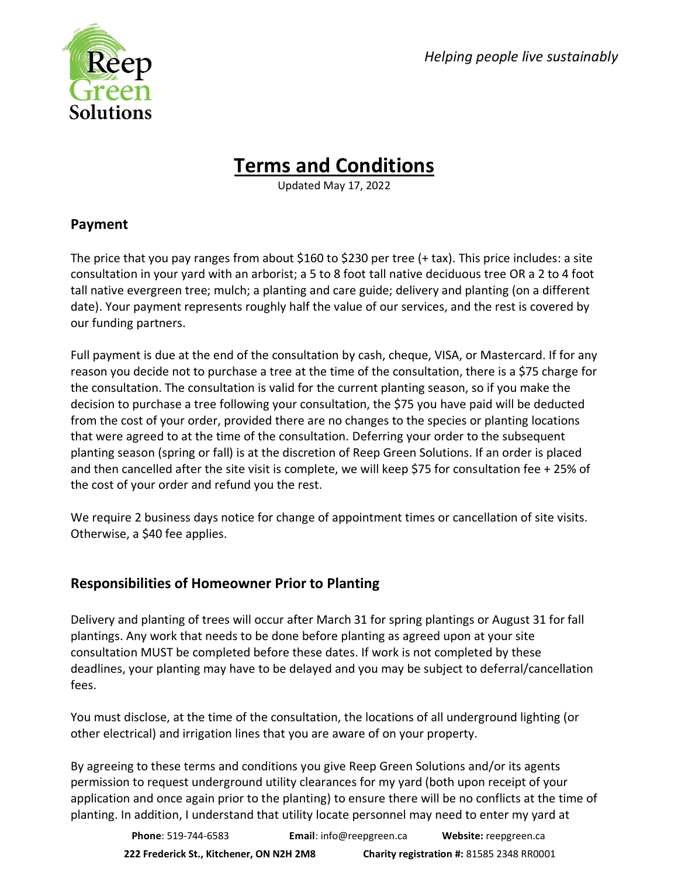*Helping people live sustainably*



# **Terms and Conditions**

Updated May 17, 2022

## **Payment**

The price that you pay ranges from about \$160 to \$230 per tree (+ tax). This price includes: a site consultation in your yard with an arborist; a 5 to 8 foot tall native deciduous tree OR a 2 to 4 foot tall native evergreen tree; mulch; a planting and care guide; delivery and planting (on a different date). Your payment represents roughly half the value of our services, and the rest is covered by our funding partners.

Full payment is due at the end of the consultation by cash, cheque, VISA, or Mastercard. If for any reason you decide not to purchase a tree at the time of the consultation, there is a \$75 charge for the consultation. The consultation is valid for the current planting season, so if you make the decision to purchase a tree following your consultation, the \$75 you have paid will be deducted from the cost of your order, provided there are no changes to the species or planting locations that were agreed to at the time of the consultation. Deferring your order to the subsequent planting season (spring or fall) is at the discretion of Reep Green Solutions. If an order is placed and then cancelled after the site visit is complete, we will keep \$75 for consultation fee + 25% of the cost of your order and refund you the rest.

We require 2 business days notice for change of appointment times or cancellation of site visits. Otherwise, a \$40 fee applies.

# **Responsibilities of Homeowner Prior to Planting**

Delivery and planting of trees will occur after March 31 for spring plantings or August 31 for fall plantings. Any work that needs to be done before planting as agreed upon at your site consultation MUST be completed before these dates. If work is not completed by these deadlines, your planting may have to be delayed and you may be subject to deferral/cancellation fees.

You must disclose, at the time of the consultation, the locations of all underground lighting (or other electrical) and irrigation lines that you are aware of on your property.

By agreeing to these terms and conditions you give Reep Green Solutions and/or its agents permission to request underground utility clearances for my yard (both upon receipt of your application and once again prior to the planting) to ensure there will be no conflicts at the time of planting. In addition, I understand that utility locate personnel may need to enter my yard at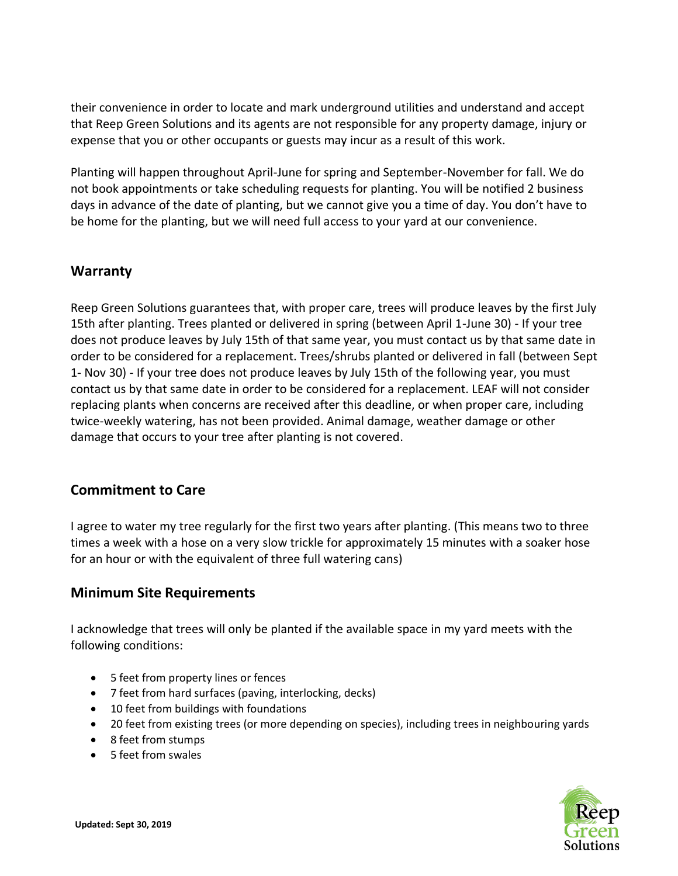their convenience in order to locate and mark underground utilities and understand and accept that Reep Green Solutions and its agents are not responsible for any property damage, injury or expense that you or other occupants or guests may incur as a result of this work.

Planting will happen throughout April-June for spring and September-November for fall. We do not book appointments or take scheduling requests for planting. You will be notified 2 business days in advance of the date of planting, but we cannot give you a time of day. You don't have to be home for the planting, but we will need full access to your yard at our convenience.

#### **Warranty**

Reep Green Solutions guarantees that, with proper care, trees will produce leaves by the first July 15th after planting. Trees planted or delivered in spring (between April 1-June 30) - If your tree does not produce leaves by July 15th of that same year, you must contact us by that same date in order to be considered for a replacement. Trees/shrubs planted or delivered in fall (between Sept 1- Nov 30) - If your tree does not produce leaves by July 15th of the following year, you must contact us by that same date in order to be considered for a replacement. LEAF will not consider replacing plants when concerns are received after this deadline, or when proper care, including twice-weekly watering, has not been provided. Animal damage, weather damage or other damage that occurs to your tree after planting is not covered.

### **Commitment to Care**

I agree to water my tree regularly for the first two years after planting. (This means two to three times a week with a hose on a very slow trickle for approximately 15 minutes with a soaker hose for an hour or with the equivalent of three full watering cans)

#### **Minimum Site Requirements**

I acknowledge that trees will only be planted if the available space in my yard meets with the following conditions:

- 5 feet from property lines or fences
- 7 feet from hard surfaces (paving, interlocking, decks)
- 10 feet from buildings with foundations
- 20 feet from existing trees (or more depending on species), including trees in neighbouring yards
- 8 feet from stumps
- 5 feet from swales